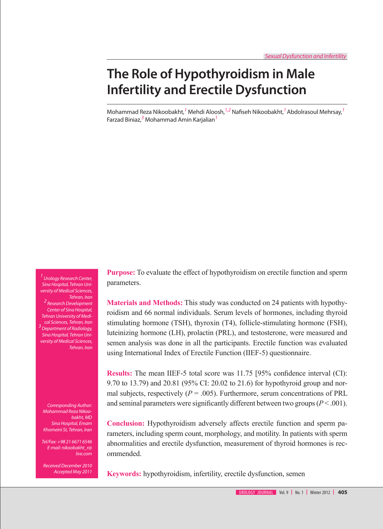# **The Role of Hypothyroidism in Male Infertility and Erectile Dysfunction**

Mohammad Reza Nikoobakht,*<sup>1</sup>* Mehdi Aloosh,*1,2* Nafiseh Nikoobakht,*1* Abdolrasoul Mehrsay,*<sup>1</sup>* Farzad Biniaz,*<sup>3</sup>* Mohammad Amin Karjalian*<sup>1</sup>*

*1 Urology Research Center, Sina Hospital, Tehran University of Medical Sciences, Tehran, Iran 2 Research Development Center of Sina Hospital, Tehran University of Medical Sciences, Tehran, Iran 3 Department of Radiology, Sina Hospital, Tehran University of Medical Sciences, Tehran, Iran*

*Corresponding Author: Mohammad Reza Nikoobakht, MD Sina Hospital, Emam Khomeini St, Tehran, Iran*

*Tel/Fax: +98 21 6671 6546 E-mail: nikoobakht\_r@ live.com*

*Received December 2010 Accepted May 2011*

**Purpose:** To evaluate the effect of hypothyroidism on erectile function and sperm parameters.

**Materials and Methods:** This study was conducted on 24 patients with hypothyroidism and 66 normal individuals. Serum levels of hormones, including thyroid stimulating hormone (TSH), thyroxin (T4), follicle-stimulating hormone (FSH), luteinizing hormone (LH), prolactin (PRL), and testosterone, were measured and semen analysis was done in all the participants. Erectile function was evaluated using International Index of Erectile Function (IIEF-5) questionnaire.

**Results:** The mean IIEF-5 total score was 11.75 [95% confidence interval (CI): 9.70 to 13.79) and 20.81 (95% CI: 20.02 to 21.6) for hypothyroid group and normal subjects, respectively  $(P = .005)$ . Furthermore, serum concentrations of PRL and seminal parameters were significantly different between two groups  $(P < .001)$ .

**Conclusion:** Hypothyroidism adversely affects erectile function and sperm parameters, including sperm count, morphology, and motility. In patients with sperm abnormalities and erectile dysfunction, measurement of thyroid hormones is recommended.

**Keywords:** hypothyroidism, infertility, erectile dysfunction, semen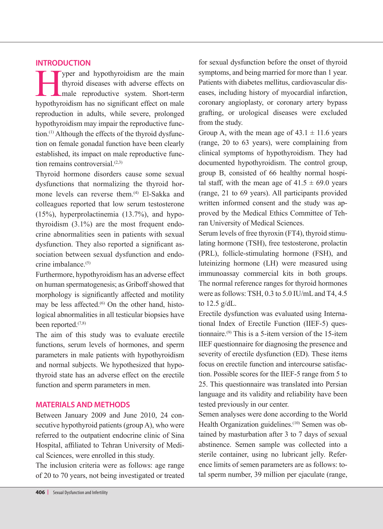# **INTRODUCTION**

Typer and hypothyroidism are the main<br>thyroid diseases with adverse effects on<br>male reproductive system. Short-term<br>hypothyroidism has no significant effect on male thyroid diseases with adverse effects on male reproductive system. Short-term hypothyroidism has no significant effect on male reproduction in adults, while severe, prolonged hypothyroidism may impair the reproductive function.(1) Although the effects of the thyroid dysfunction on female gonadal function have been clearly established, its impact on male reproductive function remains controversial. $(2,3)$ 

Thyroid hormone disorders cause some sexual dysfunctions that normalizing the thyroid hormone levels can reverse them.<sup>(4)</sup> El-Sakka and colleagues reported that low serum testosterone (15%), hyperprolactinemia (13.7%), and hypothyroidism (3.1%) are the most frequent endocrine abnormalities seen in patients with sexual dysfunction. They also reported a significant association between sexual dysfunction and endocrine imbalance $(5)$ 

Furthermore, hypothyroidism has an adverse effect on human spermatogenesis; as Griboff showed that morphology is significantly affected and motility may be less affected.<sup>(6)</sup> On the other hand, histological abnormalities in all testicular biopsies have been reported.<sup>(7,8)</sup>

The aim of this study was to evaluate erectile functions, serum levels of hormones, and sperm parameters in male patients with hypothyroidism and normal subjects. We hypothesized that hypothyroid state has an adverse effect on the erectile function and sperm parameters in men.

#### **MATERIALS AND METHODS**

Between January 2009 and June 2010, 24 consecutive hypothyroid patients (group A), who were referred to the outpatient endocrine clinic of Sina Hospital, affiliated to Tehran University of Medical Sciences, were enrolled in this study.

The inclusion criteria were as follows: age range of 20 to 70 years, not being investigated or treated for sexual dysfunction before the onset of thyroid symptoms, and being married for more than 1 year. Patients with diabetes mellitus, cardiovascular diseases, including history of myocardial infarction, coronary angioplasty, or coronary artery bypass grafting, or urological diseases were excluded from the study.

Group A, with the mean age of  $43.1 \pm 11.6$  years (range, 20 to 63 years), were complaining from clinical symptoms of hypothyroidism. They had documented hypothyroidism. The control group, group B, consisted of 66 healthy normal hospital staff, with the mean age of  $41.5 \pm 69.0$  years (range, 21 to 69 years). All participants provided written informed consent and the study was approved by the Medical Ethics Committee of Tehran University of Medical Sciences.

Serum levels of free thyroxin (FT4), thyroid stimulating hormone (TSH), free testosterone, prolactin (PRL), follicle-stimulating hormone (FSH), and luteinizing hormone (LH) were measured using immunoassay commercial kits in both groups. The normal reference ranges for thyroid hormones were as follows: TSH, 0.3 to 5.0 IU/mL and T4, 4.5 to 12.5 g/dL.

Erectile dysfunction was evaluated using International Index of Erectile Function (IIEF-5) questionnaire.<sup>(9)</sup> This is a 5-item version of the 15-item IIEF questionnaire for diagnosing the presence and severity of erectile dysfunction (ED). These items focus on erectile function and intercourse satisfaction. Possible scores for the IIEF-5 range from 5 to 25. This questionnaire was translated into Persian language and its validity and reliability have been tested previously in our center.

Semen analyses were done according to the World Health Organization guidelines.<sup>(10)</sup> Semen was obtained by masturbation after 3 to 7 days of sexual abstinence. Semen sample was collected into a sterile container, using no lubricant jelly. Reference limits of semen parameters are as follows: total sperm number, 39 million per ejaculate (range,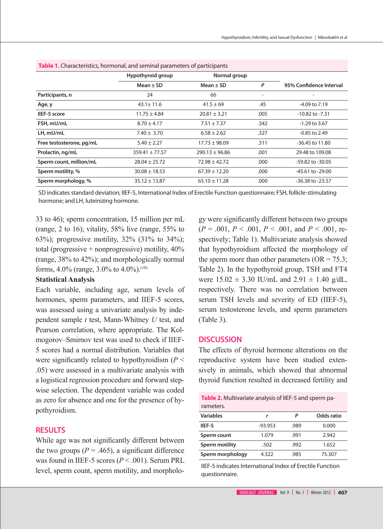| <b>TWEE IF CHARGE CHOICE AND HOTHLOHAN AND SCHIMBER PARAMETERS</b> OF PARTICIPALITY |                    |                    |                          |                         |  |  |
|-------------------------------------------------------------------------------------|--------------------|--------------------|--------------------------|-------------------------|--|--|
|                                                                                     | Hypothyroid group  | Normal group       |                          |                         |  |  |
|                                                                                     | Mean $\pm$ SD      | Mean $\pm$ SD      | P                        | 95% Confidence Interval |  |  |
| Participants, n                                                                     | 24                 | 66                 | $\overline{\phantom{a}}$ |                         |  |  |
| Age, y                                                                              | $43.1 \pm 11.6$    | $41.5 \pm 69$      | .45                      | -4.09 to 7.19           |  |  |
| IIEF-5 score                                                                        | $11.75 \pm 4.84$   | $20.81 \pm 3.21$   | .005                     | $-10.82$ to $-7.31$     |  |  |
| FSH, mU/mL                                                                          | $8.70 \pm 4.17$    | $7.51 \pm 7.37$    | .342                     | $-1.29$ to 3.67         |  |  |
| LH, mU/mL                                                                           | $7.40 \pm 3.70$    | $6.58 \pm 2.62$    | .327                     | $-0.85$ to 2.49         |  |  |
| Free testosterone, pg/mL                                                            | $5.40 \pm 2.27$    | $17.73 \pm 98.09$  | .311                     | -36.45 to 11.80         |  |  |
| Prolactin, ng/mL                                                                    | $359.41 \pm 77.57$ | $290.13 \pm 96.86$ | .001                     | 29.48 to 109.08         |  |  |
| Sperm count, million/mL                                                             | $28.04 \pm 25.72$  | $72.98 \pm 42.72$  | .000                     | $-59.82$ to $-30.05$    |  |  |
| Sperm motility, %                                                                   | $30.08 \pm 18.53$  | $67.39 \pm 12.20$  | .000                     | $-45.61$ to $-29.00$    |  |  |
| Sperm morphology, %                                                                 | $35.12 \pm 13.87$  | $65.10 \pm 11.28$  | .000                     | $-36.38$ to $-23.57$    |  |  |

**Table 1.** Characteristics, hormonal, and seminal parameters of participants

SD indicates standard deviation; IIEF-5, International Index of Erectile Function questionnaire; FSH, follicle-stimulating hormone; and LH, luteinizing hormone.

33 to 46); sperm concentration, 15 million per mL (range, 2 to 16); vitality,  $58\%$  live (range,  $55\%$  to 63%); progressive motility, 32% (31% to 34%); total (progressive + nonprogressive) motility, 40% (range, 38% to 42%); and morphologically normal forms,  $4.0\%$  (range,  $3.0\%$  to  $4.0\%$ ).<sup>(10)</sup>

### **Statistical Analysis**

Each variable, including age, serum levels of hormones, sperm parameters, and IIEF-5 scores, was assessed using a univariate analysis by independent sample *t* test, Mann-Whitney *U* test, and Pearson correlation, where appropriate. The Kolmogorov–Smirnov test was used to check if IIEF-5 scores had a normal distribution. Variables that were significantly related to hypothyroidism (*P* < .05) were assessed in a multivariate analysis with a logistical regression procedure and forward stepwise selection. The dependent variable was coded as zero for absence and one for the presence of hypothyroidism.

## **RESULTS**

While age was not significantly different between the two groups  $(P = .465)$ , a significant difference was found in IIEF-5 scores (*P* < .001). Serum PRL level, sperm count, sperm motility, and morpholo-

gy were significantly different between two groups  $(P = .001, P < .001, P < .001,$  and  $P < .001$ , respectively; Table 1). Multivariate analysis showed that hypothyroidism affected the morphology of the sperm more than other parameters  $(OR = 75.3)$ ; Table 2). In the hypothyroid group, TSH and FT4 were  $15.02 \pm 3.30$  IU/mL and  $2.91 \pm 1.40$  g/dL, respectively. There was no correlation between serum TSH levels and severity of ED (IIEF-5), serum testosterone levels, and sperm parameters (Table 3).

#### **DISCUSSION**

The effects of thyroid hormone alterations on the reproductive system have been studied extensively in animals, which showed that abnormal thyroid function resulted in decreased fertility and

| <b>Table 2.</b> Multivariate analysis of IIEF-5 and sperm pa-<br>rameters. |           |      |            |  |  |  |
|----------------------------------------------------------------------------|-----------|------|------------|--|--|--|
| <b>Variables</b>                                                           | r         | Р    | Odds ratio |  |  |  |
| IIEF-5                                                                     | $-93.953$ | .989 | 0.000      |  |  |  |
| Sperm count                                                                | 1.079     | .991 | 2.942      |  |  |  |
| Sperm motility                                                             | .502      | .992 | 1.652      |  |  |  |
| Sperm morphology                                                           | 4.322     | .985 | 75.307     |  |  |  |

IIEF-5 indicates International Index of Erectile Function questionnaire.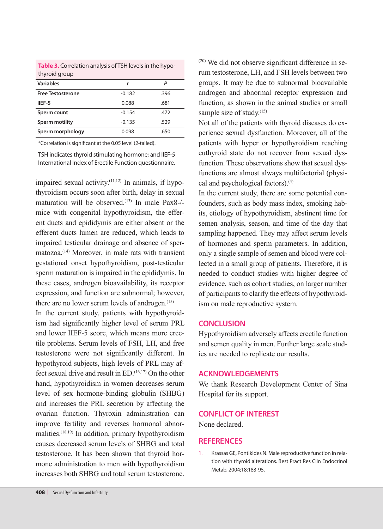| thyroid group            |          |      |
|--------------------------|----------|------|
| <b>Variables</b>         | r        | P    |
| <b>Free Testosterone</b> | $-0.182$ | .396 |
| IIEF-5                   | 0.088    | .681 |
| Sperm count              | $-0.154$ | .472 |
| <b>Sperm motility</b>    | $-0.135$ | .529 |
| Sperm morphology         | 0.098    | .650 |

**Table 3.** Correlation analysis of TSH levels in the hypothyroid group

\*Correlation is significant at the 0.05 level (2-tailed).

TSH indicates thyroid stimulating hormone; and IIEF-5 International Index of Erectile Function questionnaire.

impaired sexual activity.<sup> $(11,12)$ </sup> In animals, if hypothyroidism occurs soon after birth, delay in sexual maturation will be observed.<sup>(13)</sup> In male Pax8-/mice with congenital hypothyroidism, the efferent ducts and epididymis are either absent or the efferent ducts lumen are reduced, which leads to impaired testicular drainage and absence of spermatozoa.(14) Moreover, in male rats with transient gestational onset hypothyroidism, post-testicular sperm maturation is impaired in the epididymis. In these cases, androgen bioavailability, its receptor expression, and function are subnormal; however, there are no lower serum levels of androgen. $(15)$ 

In the current study, patients with hypothyroidism had significantly higher level of serum PRL and lower IIEF-5 score, which means more erectile problems. Serum levels of FSH, LH, and free testosterone were not significantly different. In hypothyroid subjects, high levels of PRL may affect sexual drive and result in  $ED$ .<sup>(16,17)</sup> On the other hand, hypothyroidism in women decreases serum level of sex hormone-binding globulin (SHBG) and increases the PRL secretion by affecting the ovarian function. Thyroxin administration can improve fertility and reverses hormonal abnormalities.(18,19) In addition, primary hypothyroidism causes decreased serum levels of SHBG and total testosterone. It has been shown that thyroid hormone administration to men with hypothyroidism increases both SHBG and total serum testosterone.

(20) We did not observe significant difference in serum testosterone, LH, and FSH levels between two groups. It may be due to subnormal bioavailable androgen and abnormal receptor expression and function, as shown in the animal studies or small sample size of study.<sup>(15)</sup>

Not all of the patients with thyroid diseases do experience sexual dysfunction. Moreover, all of the patients with hyper or hypothyroidism reaching euthyroid state do not recover from sexual dysfunction. These observations show that sexual dysfunctions are almost always multifactorial (physical and psychological factors).(4)

In the current study, there are some potential confounders, such as body mass index, smoking habits, etiology of hypothyroidism, abstinent time for semen analysis, season, and time of the day that sampling happened. They may affect serum levels of hormones and sperm parameters. In addition, only a single sample of semen and blood were collected in a small group of patients. Therefore, it is needed to conduct studies with higher degree of evidence, such as cohort studies, on larger number of participants to clarify the effects of hypothyroidism on male reproductive system.

#### **CONCLUSION**

Hypothyroidism adversely affects erectile function and semen quality in men. Further large scale studies are needed to replicate our results.

## **ACKNOWLEDGEMENTS**

We thank Research Development Center of Sina Hospital for its support.

## **CONFLICT OF INTEREST**

None declared.

## **REFERENCES**

1. Krassas GE, Pontikides N. Male reproductive function in relation with thyroid alterations. Best Pract Res Clin Endocrinol Metab. 2004;18:183-95.